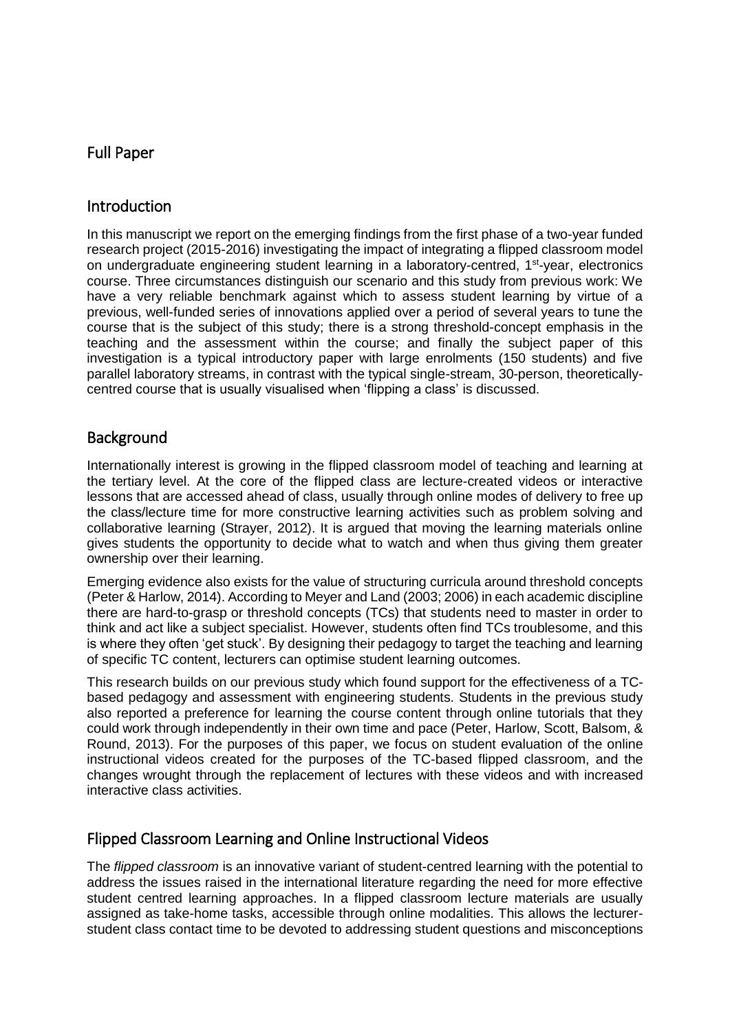# Full Paper

## Introduction

In this manuscript we report on the emerging findings from the first phase of a two-year funded research project (2015-2016) investigating the impact of integrating a flipped classroom model on undergraduate engineering student learning in a laboratory-centred, 1<sup>st</sup>-year, electronics course. Three circumstances distinguish our scenario and this study from previous work: We have a very reliable benchmark against which to assess student learning by virtue of a previous, well-funded series of innovations applied over a period of several years to tune the course that is the subject of this study; there is a strong threshold-concept emphasis in the teaching and the assessment within the course; and finally the subject paper of this investigation is a typical introductory paper with large enrolments (150 students) and five parallel laboratory streams, in contrast with the typical single-stream, 30-person, theoreticallycentred course that is usually visualised when 'flipping a class' is discussed.

### **Background**

Internationally interest is growing in the flipped classroom model of teaching and learning at the tertiary level. At the core of the flipped class are lecture-created videos or interactive lessons that are accessed ahead of class, usually through online modes of delivery to free up the class/lecture time for more constructive learning activities such as problem solving and collaborative learning (Strayer, 2012). It is argued that moving the learning materials online gives students the opportunity to decide what to watch and when thus giving them greater ownership over their learning.

Emerging evidence also exists for the value of structuring curricula around threshold concepts (Peter & Harlow, 2014). According to Meyer and Land (2003; 2006) in each academic discipline there are hard-to-grasp or threshold concepts (TCs) that students need to master in order to think and act like a subject specialist. However, students often find TCs troublesome, and this is where they often 'get stuck'. By designing their pedagogy to target the teaching and learning of specific TC content, lecturers can optimise student learning outcomes.

This research builds on our previous study which found support for the effectiveness of a TCbased pedagogy and assessment with engineering students. Students in the previous study also reported a preference for learning the course content through online tutorials that they could work through independently in their own time and pace (Peter, Harlow, Scott, Balsom, & Round, 2013). For the purposes of this paper, we focus on student evaluation of the online instructional videos created for the purposes of the TC-based flipped classroom, and the changes wrought through the replacement of lectures with these videos and with increased interactive class activities.

# Flipped Classroom Learning and Online Instructional Videos

The *flipped classroom* is an innovative variant of student-centred learning with the potential to address the issues raised in the international literature regarding the need for more effective student centred learning approaches. In a flipped classroom lecture materials are usually assigned as take-home tasks, accessible through online modalities. This allows the lecturerstudent class contact time to be devoted to addressing student questions and misconceptions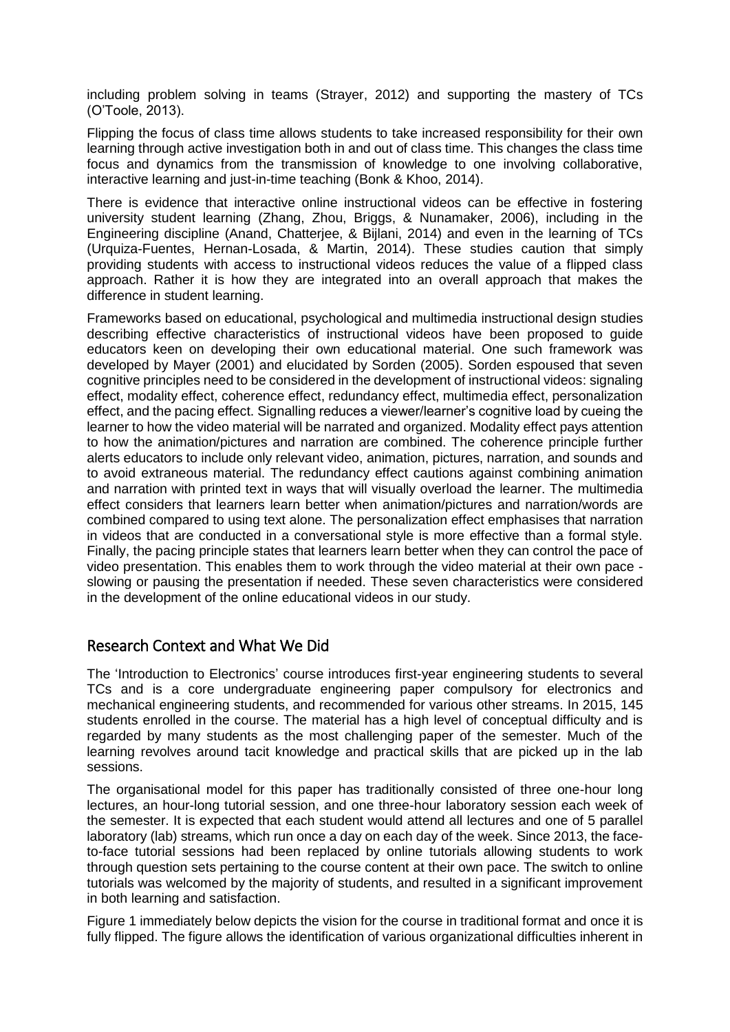including problem solving in teams (Strayer, 2012) and supporting the mastery of TCs (O'Toole, 2013).

Flipping the focus of class time allows students to take increased responsibility for their own learning through active investigation both in and out of class time. This changes the class time focus and dynamics from the transmission of knowledge to one involving collaborative, interactive learning and just-in-time teaching (Bonk & Khoo, 2014).

There is evidence that interactive online instructional videos can be effective in fostering university student learning (Zhang, Zhou, Briggs, & Nunamaker, 2006), including in the Engineering discipline (Anand, Chatterjee, & Bijlani, 2014) and even in the learning of TCs (Urquiza-Fuentes, Hernan-Losada, & Martin, 2014). These studies caution that simply providing students with access to instructional videos reduces the value of a flipped class approach. Rather it is how they are integrated into an overall approach that makes the difference in student learning.

Frameworks based on educational, psychological and multimedia instructional design studies describing effective characteristics of instructional videos have been proposed to guide educators keen on developing their own educational material. One such framework was developed by Mayer (2001) and elucidated by Sorden (2005). Sorden espoused that seven cognitive principles need to be considered in the development of instructional videos: signaling effect, modality effect, coherence effect, redundancy effect, multimedia effect, personalization effect, and the pacing effect. Signalling reduces a viewer/learner's cognitive load by cueing the learner to how the video material will be narrated and organized. Modality effect pays attention to how the animation/pictures and narration are combined. The coherence principle further alerts educators to include only relevant video, animation, pictures, narration, and sounds and to avoid extraneous material. The redundancy effect cautions against combining animation and narration with printed text in ways that will visually overload the learner. The multimedia effect considers that learners learn better when animation/pictures and narration/words are combined compared to using text alone. The personalization effect emphasises that narration in videos that are conducted in a conversational style is more effective than a formal style. Finally, the pacing principle states that learners learn better when they can control the pace of video presentation. This enables them to work through the video material at their own pace slowing or pausing the presentation if needed. These seven characteristics were considered in the development of the online educational videos in our study.

### Research Context and What We Did

The 'Introduction to Electronics' course introduces first-year engineering students to several TCs and is a core undergraduate engineering paper compulsory for electronics and mechanical engineering students, and recommended for various other streams. In 2015, 145 students enrolled in the course. The material has a high level of conceptual difficulty and is regarded by many students as the most challenging paper of the semester. Much of the learning revolves around tacit knowledge and practical skills that are picked up in the lab sessions.

The organisational model for this paper has traditionally consisted of three one-hour long lectures, an hour-long tutorial session, and one three-hour laboratory session each week of the semester. It is expected that each student would attend all lectures and one of 5 parallel laboratory (lab) streams, which run once a day on each day of the week. Since 2013, the faceto-face tutorial sessions had been replaced by online tutorials allowing students to work through question sets pertaining to the course content at their own pace. The switch to online tutorials was welcomed by the majority of students, and resulted in a significant improvement in both learning and satisfaction.

Figure 1 immediately below depicts the vision for the course in traditional format and once it is fully flipped. The figure allows the identification of various organizational difficulties inherent in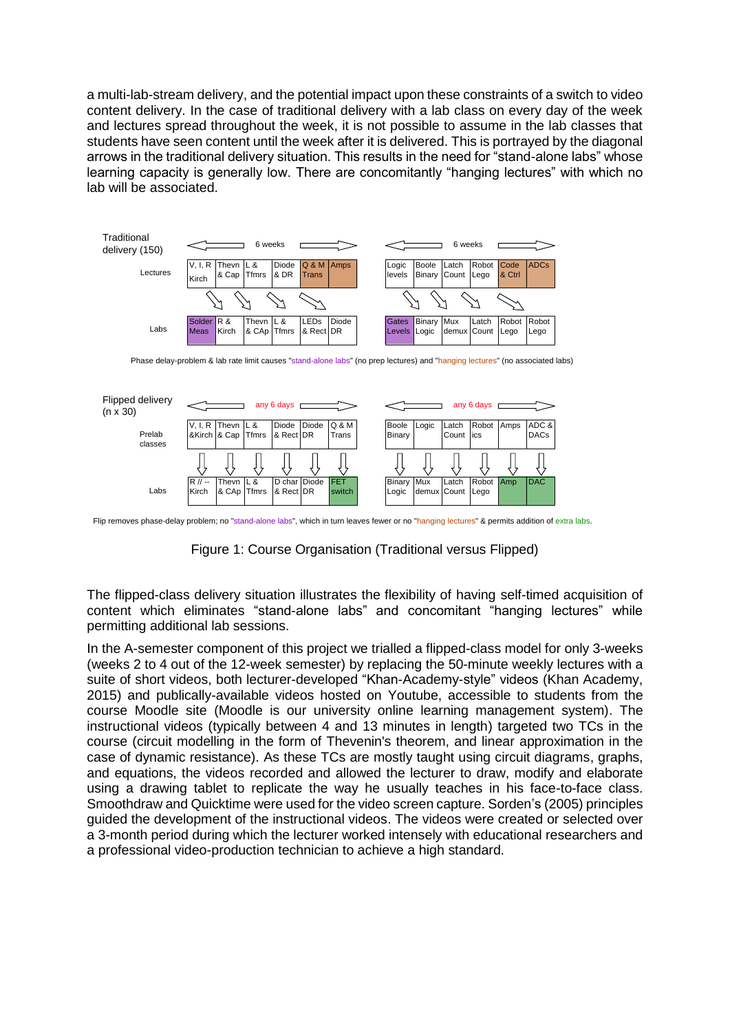a multi-lab-stream delivery, and the potential impact upon these constraints of a switch to video content delivery. In the case of traditional delivery with a lab class on every day of the week and lectures spread throughout the week, it is not possible to assume in the lab classes that students have seen content until the week after it is delivered. This is portrayed by the diagonal arrows in the traditional delivery situation. This results in the need for "stand-alone labs" whose learning capacity is generally low. There are concomitantly "hanging lectures" with which no lab will be associated.



Phase delay-problem & lab rate limit causes "stand-alone labs" (no prep lectures) and "hanging lectures" (no associated labs)



Flip removes phase-delay problem; no "stand-alone labs", which in turn leaves fewer or no "hanging lectures" & permits addition of extra labs.

Figure 1: Course Organisation (Traditional versus Flipped)

The flipped-class delivery situation illustrates the flexibility of having self-timed acquisition of content which eliminates "stand-alone labs" and concomitant "hanging lectures" while permitting additional lab sessions.

In the A-semester component of this project we trialled a flipped-class model for only 3-weeks (weeks 2 to 4 out of the 12-week semester) by replacing the 50-minute weekly lectures with a suite of short videos, both lecturer-developed "Khan-Academy-style" videos (Khan Academy, 2015) and publically-available videos hosted on Youtube, accessible to students from the course Moodle site (Moodle is our university online learning management system). The instructional videos (typically between 4 and 13 minutes in length) targeted two TCs in the course (circuit modelling in the form of Thevenin's theorem, and linear approximation in the case of dynamic resistance). As these TCs are mostly taught using circuit diagrams, graphs, and equations, the videos recorded and allowed the lecturer to draw, modify and elaborate using a drawing tablet to replicate the way he usually teaches in his face-to-face class. Smoothdraw and Quicktime were used for the video screen capture. Sorden's (2005) principles guided the development of the instructional videos. The videos were created or selected over a 3-month period during which the lecturer worked intensely with educational researchers and a professional video-production technician to achieve a high standard.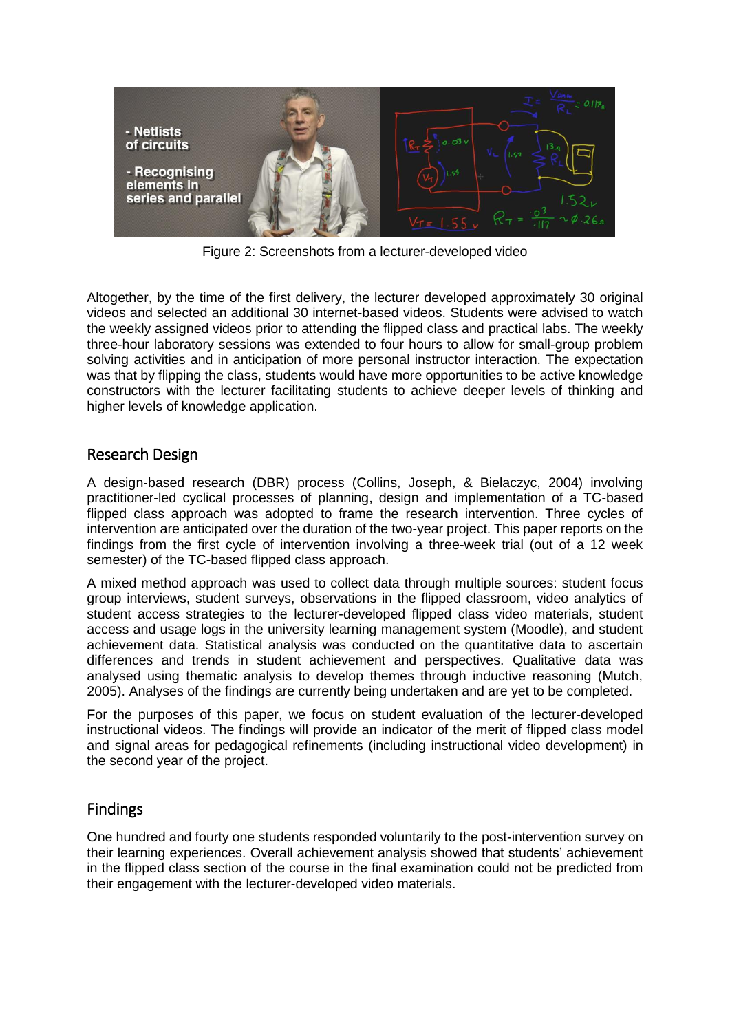

Figure 2: Screenshots from a lecturer-developed video

Altogether, by the time of the first delivery, the lecturer developed approximately 30 original videos and selected an additional 30 internet-based videos. Students were advised to watch the weekly assigned videos prior to attending the flipped class and practical labs. The weekly three-hour laboratory sessions was extended to four hours to allow for small-group problem solving activities and in anticipation of more personal instructor interaction. The expectation was that by flipping the class, students would have more opportunities to be active knowledge constructors with the lecturer facilitating students to achieve deeper levels of thinking and higher levels of knowledge application.

### Research Design

A design-based research (DBR) process (Collins, Joseph, & Bielaczyc, 2004) involving practitioner-led cyclical processes of planning, design and implementation of a TC-based flipped class approach was adopted to frame the research intervention. Three cycles of intervention are anticipated over the duration of the two-year project. This paper reports on the findings from the first cycle of intervention involving a three-week trial (out of a 12 week semester) of the TC-based flipped class approach.

A mixed method approach was used to collect data through multiple sources: student focus group interviews, student surveys, observations in the flipped classroom, video analytics of student access strategies to the lecturer-developed flipped class video materials, student access and usage logs in the university learning management system (Moodle), and student achievement data. Statistical analysis was conducted on the quantitative data to ascertain differences and trends in student achievement and perspectives. Qualitative data was analysed using thematic analysis to develop themes through inductive reasoning (Mutch, 2005). Analyses of the findings are currently being undertaken and are yet to be completed.

For the purposes of this paper, we focus on student evaluation of the lecturer-developed instructional videos. The findings will provide an indicator of the merit of flipped class model and signal areas for pedagogical refinements (including instructional video development) in the second year of the project.

# Findings

One hundred and fourty one students responded voluntarily to the post-intervention survey on their learning experiences. Overall achievement analysis showed that students' achievement in the flipped class section of the course in the final examination could not be predicted from their engagement with the lecturer-developed video materials.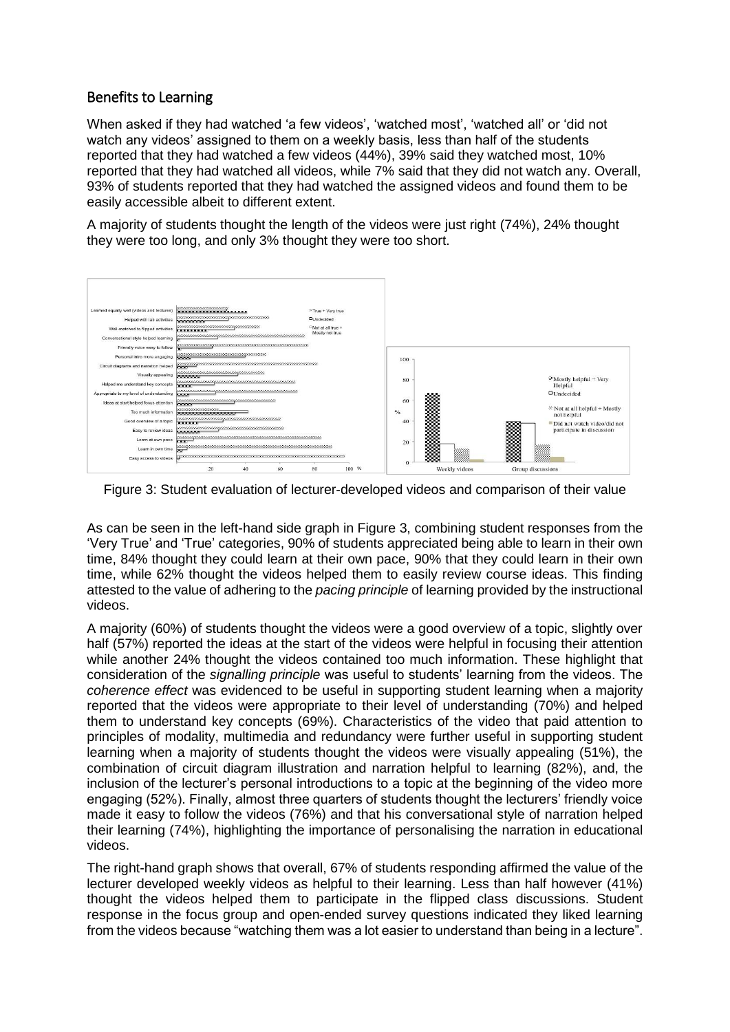### Benefits to Learning

When asked if they had watched 'a few videos', 'watched most', 'watched all' or 'did not watch any videos' assigned to them on a weekly basis, less than half of the students reported that they had watched a few videos (44%), 39% said they watched most, 10% reported that they had watched all videos, while 7% said that they did not watch any. Overall, 93% of students reported that they had watched the assigned videos and found them to be easily accessible albeit to different extent.

A majority of students thought the length of the videos were just right (74%), 24% thought they were too long, and only 3% thought they were too short.



Figure 3: Student evaluation of lecturer-developed videos and comparison of their value

As can be seen in the left-hand side graph in Figure 3, combining student responses from the 'Very True' and 'True' categories, 90% of students appreciated being able to learn in their own time, 84% thought they could learn at their own pace, 90% that they could learn in their own time, while 62% thought the videos helped them to easily review course ideas. This finding attested to the value of adhering to the *pacing principle* of learning provided by the instructional videos.

A majority (60%) of students thought the videos were a good overview of a topic, slightly over half (57%) reported the ideas at the start of the videos were helpful in focusing their attention while another 24% thought the videos contained too much information. These highlight that consideration of the *signalling principle* was useful to students' learning from the videos. The *coherence effect* was evidenced to be useful in supporting student learning when a majority reported that the videos were appropriate to their level of understanding (70%) and helped them to understand key concepts (69%). Characteristics of the video that paid attention to principles of modality, multimedia and redundancy were further useful in supporting student learning when a majority of students thought the videos were visually appealing (51%), the combination of circuit diagram illustration and narration helpful to learning (82%), and, the inclusion of the lecturer's personal introductions to a topic at the beginning of the video more engaging (52%). Finally, almost three quarters of students thought the lecturers' friendly voice made it easy to follow the videos (76%) and that his conversational style of narration helped their learning (74%), highlighting the importance of personalising the narration in educational videos.

The right-hand graph shows that overall, 67% of students responding affirmed the value of the lecturer developed weekly videos as helpful to their learning. Less than half however (41%) thought the videos helped them to participate in the flipped class discussions. Student response in the focus group and open-ended survey questions indicated they liked learning from the videos because "watching them was a lot easier to understand than being in a lecture".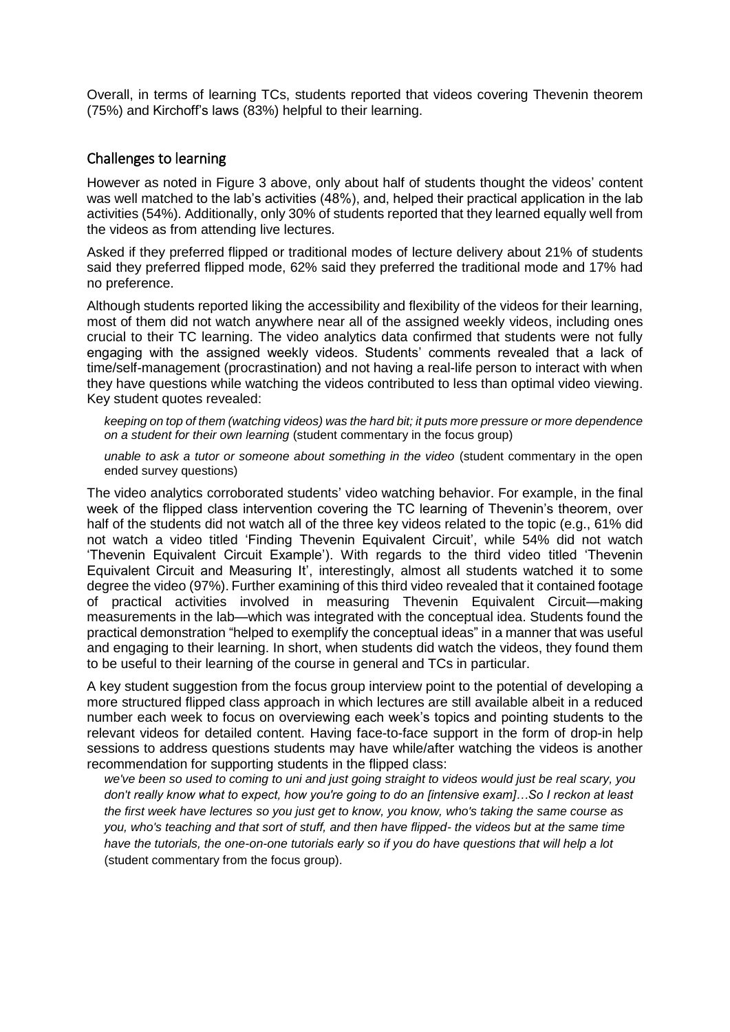Overall, in terms of learning TCs, students reported that videos covering Thevenin theorem (75%) and Kirchoff's laws (83%) helpful to their learning.

#### Challenges to learning

However as noted in Figure 3 above, only about half of students thought the videos' content was well matched to the lab's activities (48%), and, helped their practical application in the lab activities (54%). Additionally, only 30% of students reported that they learned equally well from the videos as from attending live lectures.

Asked if they preferred flipped or traditional modes of lecture delivery about 21% of students said they preferred flipped mode, 62% said they preferred the traditional mode and 17% had no preference.

Although students reported liking the accessibility and flexibility of the videos for their learning, most of them did not watch anywhere near all of the assigned weekly videos, including ones crucial to their TC learning. The video analytics data confirmed that students were not fully engaging with the assigned weekly videos. Students' comments revealed that a lack of time/self-management (procrastination) and not having a real-life person to interact with when they have questions while watching the videos contributed to less than optimal video viewing. Key student quotes revealed:

*keeping on top of them (watching videos) was the hard bit; it puts more pressure or more dependence on a student for their own learning* (student commentary in the focus group)

*unable to ask a tutor or someone about something in the video* (student commentary in the open ended survey questions)

The video analytics corroborated students' video watching behavior. For example, in the final week of the flipped class intervention covering the TC learning of Thevenin's theorem, over half of the students did not watch all of the three key videos related to the topic (e.g., 61% did not watch a video titled 'Finding Thevenin Equivalent Circuit', while 54% did not watch 'Thevenin Equivalent Circuit Example'). With regards to the third video titled 'Thevenin Equivalent Circuit and Measuring It', interestingly, almost all students watched it to some degree the video (97%). Further examining of this third video revealed that it contained footage of practical activities involved in measuring Thevenin Equivalent Circuit—making measurements in the lab—which was integrated with the conceptual idea. Students found the practical demonstration "helped to exemplify the conceptual ideas" in a manner that was useful and engaging to their learning. In short, when students did watch the videos, they found them to be useful to their learning of the course in general and TCs in particular.

A key student suggestion from the focus group interview point to the potential of developing a more structured flipped class approach in which lectures are still available albeit in a reduced number each week to focus on overviewing each week's topics and pointing students to the relevant videos for detailed content. Having face-to-face support in the form of drop-in help sessions to address questions students may have while/after watching the videos is another recommendation for supporting students in the flipped class:

*we've been so used to coming to uni and just going straight to videos would just be real scary, you don't really know what to expect, how you're going to do an [intensive exam]…So I reckon at least the first week have lectures so you just get to know, you know, who's taking the same course as you, who's teaching and that sort of stuff, and then have flipped- the videos but at the same time have the tutorials, the one-on-one tutorials early so if you do have questions that will help a lot* (student commentary from the focus group).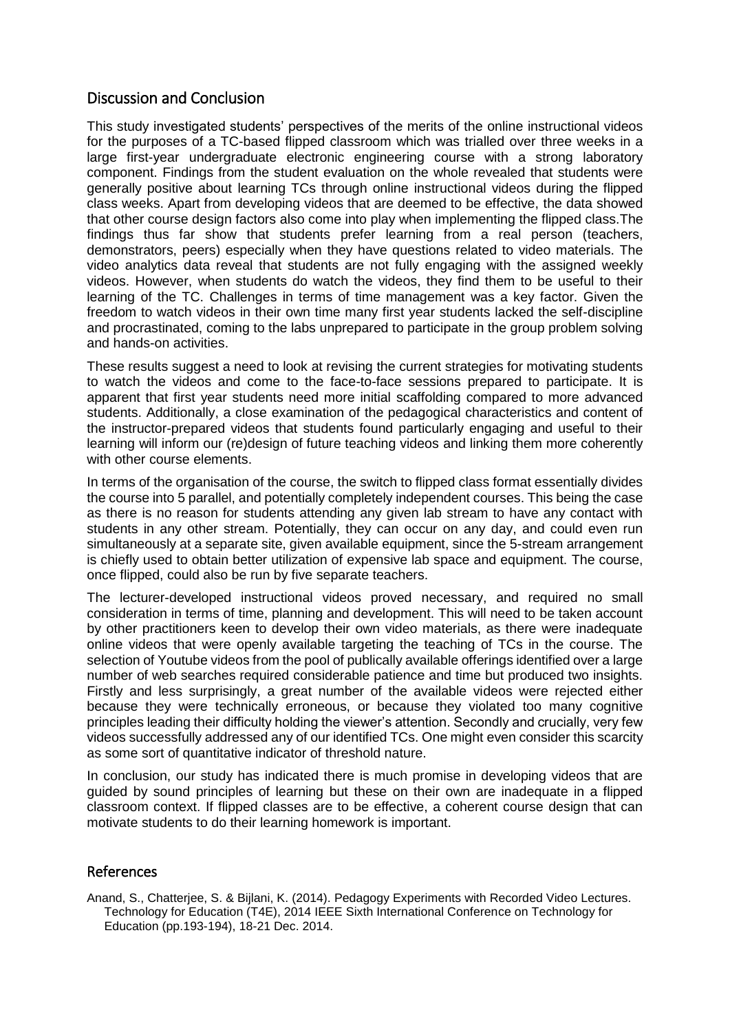# Discussion and Conclusion

This study investigated students' perspectives of the merits of the online instructional videos for the purposes of a TC-based flipped classroom which was trialled over three weeks in a large first-year undergraduate electronic engineering course with a strong laboratory component. Findings from the student evaluation on the whole revealed that students were generally positive about learning TCs through online instructional videos during the flipped class weeks. Apart from developing videos that are deemed to be effective, the data showed that other course design factors also come into play when implementing the flipped class.The findings thus far show that students prefer learning from a real person (teachers, demonstrators, peers) especially when they have questions related to video materials. The video analytics data reveal that students are not fully engaging with the assigned weekly videos. However, when students do watch the videos, they find them to be useful to their learning of the TC. Challenges in terms of time management was a key factor. Given the freedom to watch videos in their own time many first year students lacked the self-discipline and procrastinated, coming to the labs unprepared to participate in the group problem solving and hands-on activities.

These results suggest a need to look at revising the current strategies for motivating students to watch the videos and come to the face-to-face sessions prepared to participate. It is apparent that first year students need more initial scaffolding compared to more advanced students. Additionally, a close examination of the pedagogical characteristics and content of the instructor-prepared videos that students found particularly engaging and useful to their learning will inform our (re)design of future teaching videos and linking them more coherently with other course elements.

In terms of the organisation of the course, the switch to flipped class format essentially divides the course into 5 parallel, and potentially completely independent courses. This being the case as there is no reason for students attending any given lab stream to have any contact with students in any other stream. Potentially, they can occur on any day, and could even run simultaneously at a separate site, given available equipment, since the 5-stream arrangement is chiefly used to obtain better utilization of expensive lab space and equipment. The course, once flipped, could also be run by five separate teachers.

The lecturer-developed instructional videos proved necessary, and required no small consideration in terms of time, planning and development. This will need to be taken account by other practitioners keen to develop their own video materials, as there were inadequate online videos that were openly available targeting the teaching of TCs in the course. The selection of Youtube videos from the pool of publically available offerings identified over a large number of web searches required considerable patience and time but produced two insights. Firstly and less surprisingly, a great number of the available videos were rejected either because they were technically erroneous, or because they violated too many cognitive principles leading their difficulty holding the viewer's attention. Secondly and crucially, very few videos successfully addressed any of our identified TCs. One might even consider this scarcity as some sort of quantitative indicator of threshold nature.

In conclusion, our study has indicated there is much promise in developing videos that are guided by sound principles of learning but these on their own are inadequate in a flipped classroom context. If flipped classes are to be effective, a coherent course design that can motivate students to do their learning homework is important.

### References

Anand, S., Chatterjee, S. & Bijlani, K. (2014). Pedagogy Experiments with Recorded Video Lectures. Technology for Education (T4E), 2014 IEEE Sixth International Conference on Technology for Education (pp.193-194), 18-21 Dec. 2014.